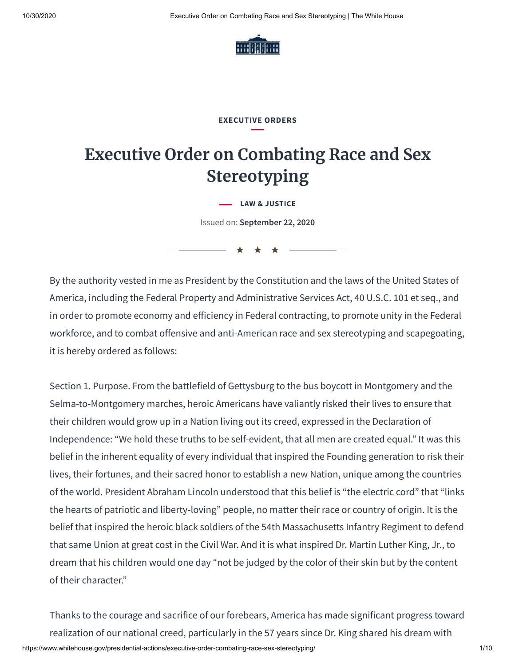

## **EXECUTIVE ORDERS**

## **Executive Order on Combating Race and Sex Stereotyping**

**LAW & [JUSTICE](https://www.whitehouse.gov/issues/law-justice/)**

Issued on: **September 22, 2020**

★ ★ ★

 America, including the Federal Property and Administrative Services Act, 40 U.S.C. 101 et seq., and in order to promote economy and efficiency in Federal contracting, to promote unity in the Federal workforce, and to combat offensive and anti-American race and sex stereotyping and scapegoating, it is hereby ordered as follows: By the authority vested in me as President by the Constitution and the laws of the United States of

 Section 1. Purpose. From the battlefield of Gettysburg to the bus boycott in Montgomery and the their children would grow up in a Nation living out its creed, expressed in the Declaration of belief in the inherent equality of every individual that inspired the Founding generation to risk their lives, their fortunes, and their sacred honor to establish a new Nation, unique among the countries of the world. President Abraham Lincoln understood that this belief is "the electric cord" that "links the hearts of patriotic and liberty-loving" people, no matter their race or country of origin. It is the belief that inspired the heroic black soldiers of the 54th Massachusetts Infantry Regiment to defend that same Union at great cost in the Civil War. And it is what inspired Dr. Martin Luther King, Jr., to Selma-to-Montgomery marches, heroic Americans have valiantly risked their lives to ensure that Independence: "We hold these truths to be self-evident, that all men are created equal." It was this dream that his children would one day "not be judged by the color of their skin but by the content of their character."

 Thanks to the courage and sacrifice of our forebears, America has made significant progress toward realization of our national creed, particularly in the 57 years since Dr. King shared his dream with [https://www.whitehouse.gov/presidential-actions/executive-order-combating-race-sex-stereotyping/](https://www.whitehouse.gov/presidential-actions/executive-order-combating-race-sex-stereotyping) 1/10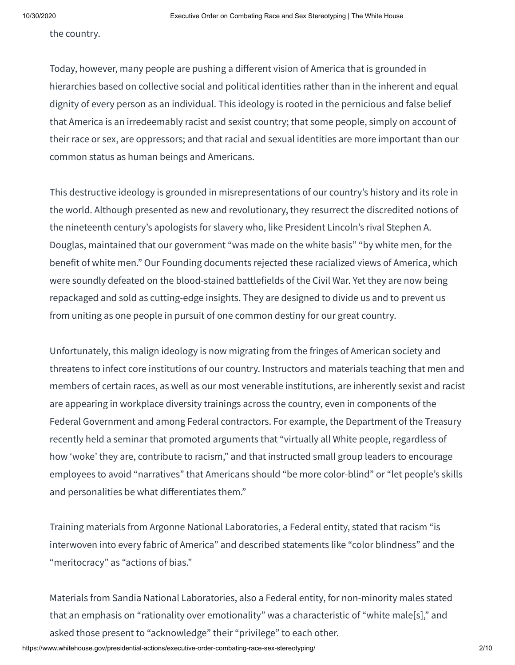the country.

Today, however, many people are pushing a different vision of America that is grounded in hierarchies based on collective social and political identities rather than in the inherent and equal that America is an irredeemably racist and sexist country; that some people, simply on account of their race or sex, are oppressors; and that racial and sexual identities are more important than our common status as human beings and Americans. dignity of every person as an individual. This ideology is rooted in the pernicious and false belief

 This destructive ideology is grounded in misrepresentations of our country's history and its role in the world. Although presented as new and revolutionary, they resurrect the discredited notions of the nineteenth century's apologists for slavery who, like President Lincoln's rival Stephen A. Douglas, maintained that our government "was made on the white basis" "by white men, for the benefit of white men." Our Founding documents rejected these racialized views of America, which repackaged and sold as cutting-edge insights. They are designed to divide us and to prevent us from uniting as one people in pursuit of one common destiny for our great country. were soundly defeated on the blood-stained battlefields of the Civil War. Yet they are now being

 threatens to infect core institutions of our country. Instructors and materials teaching that men and members of certain races, as well as our most venerable institutions, are inherently sexist and racist are appearing in workplace diversity trainings across the country, even in components of the recently held a seminar that promoted arguments that "virtually all White people, regardless of how 'woke' they are, contribute to racism," and that instructed small group leaders to encourage employees to avoid "narratives" that Americans should "be more color-blind" or "let people's skills Unfortunately, this malign ideology is now migrating from the fringes of American society and Federal Government and among Federal contractors. For example, the Department of the Treasury and personalities be what differentiates them."

 Training materials from Argonne National Laboratories, a Federal entity, stated that racism "is interwoven into every fabric of America" and described statements like "color blindness" and the "meritocracy" as "actions of bias."

 that an emphasis on "rationality over emotionality" was a characteristic of "white male[s]," and asked those present to "acknowledge" their "privilege" to each other. Materials from Sandia National Laboratories, also a Federal entity, for non-minority males stated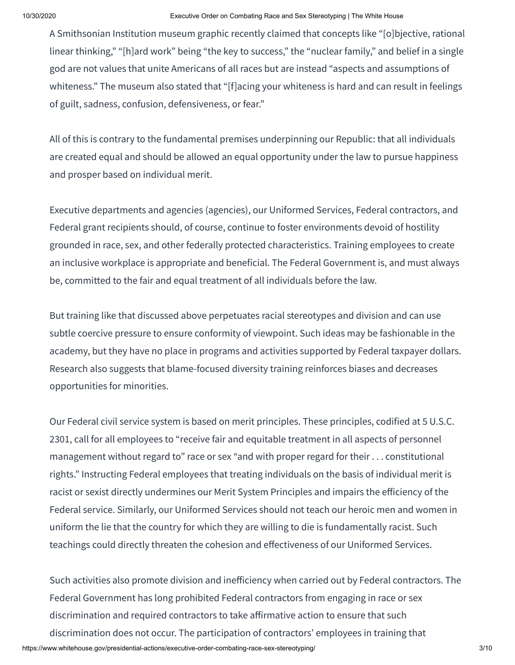linear thinking," "[h]ard work" being "the key to success," the "nuclear family," and belief in a single god are not values that unite Americans of all races but are instead "aspects and assumptions of whiteness." The museum also stated that "[f]acing your whiteness is hard and can result in feelings of guilt, sadness, confusion, defensiveness, or fear." A Smithsonian Institution museum graphic recently claimed that concepts like "[o]bjective, rational

 All of this is contrary to the fundamental premises underpinning our Republic: that all individuals are created equal and should be allowed an equal opportunity under the law to pursue happiness and prosper based on individual merit.

 Federal grant recipients should, of course, continue to foster environments devoid of hostility grounded in race, sex, and other federally protected characteristics. Training employees to create an inclusive workplace is appropriate and beneficial. The Federal Government is, and must always be, committed to the fair and equal treatment of all individuals before the law. Executive departments and agencies (agencies), our Uniformed Services, Federal contractors, and

 But training like that discussed above perpetuates racial stereotypes and division and can use subtle coercive pressure to ensure conformity of viewpoint. Such ideas may be fashionable in the academy, but they have no place in programs and activities supported by Federal taxpayer dollars. Research also suggests that blame-focused diversity training reinforces biases and decreases opportunities for minorities.

 Our Federal civil service system is based on merit principles. These principles, codified at 5 U.S.C. 2301, call for all employees to "receive fair and equitable treatment in all aspects of personnel rights." Instructing Federal employees that treating individuals on the basis of individual merit is racist or sexist directly undermines our Merit System Principles and impairs the efficiency of the Federal service. Similarly, our Uniformed Services should not teach our heroic men and women in uniform the lie that the country for which they are willing to die is fundamentally racist. Such teachings could directly threaten the cohesion and effectiveness of our Uniformed Services. management without regard to" race or sex "and with proper regard for their . . . constitutional

Such activities also promote division and inefficiency when carried out by Federal contractors. The Federal Government has long prohibited Federal contractors from engaging in race or sex discrimination and required contractors to take affirmative action to ensure that such discrimination does not occur. The participation of contractors' employees in training that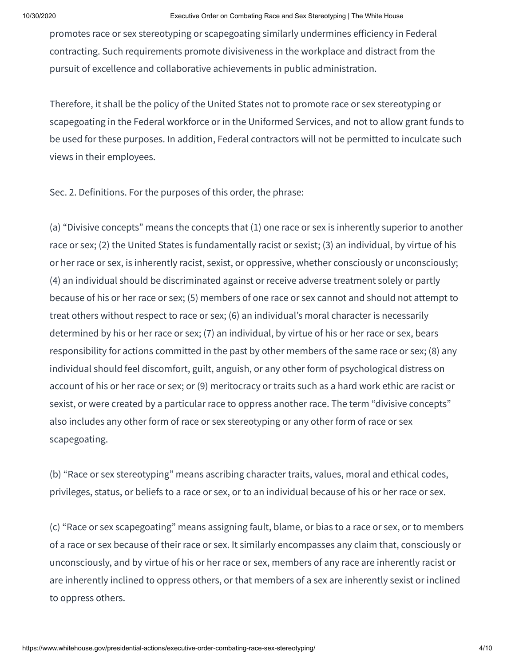promotes race or sex stereotyping or scapegoating similarly undermines efficiency in Federal contracting. Such requirements promote divisiveness in the workplace and distract from the pursuit of excellence and collaborative achievements in public administration.

 Therefore, it shall be the policy of the United States not to promote race or sex stereotyping or be used for these purposes. In addition, Federal contractors will not be permitted to inculcate such views in their employees. scapegoating in the Federal workforce or in the Uniformed Services, and not to allow grant funds to

Sec. 2. Definitions. For the purposes of this order, the phrase:

 (a) "Divisive concepts" means the concepts that (1) one race or sex is inherently superior to another race or sex; (2) the United States is fundamentally racist or sexist; (3) an individual, by virtue of his or her race or sex, is inherently racist, sexist, or oppressive, whether consciously or unconsciously; (4) an individual should be discriminated against or receive adverse treatment solely or partly because of his or her race or sex; (5) members of one race or sex cannot and should not attempt to treat others without respect to race or sex; (6) an individual's moral character is necessarily determined by his or her race or sex; (7) an individual, by virtue of his or her race or sex, bears individual should feel discomfort, guilt, anguish, or any other form of psychological distress on account of his or her race or sex; or (9) meritocracy or traits such as a hard work ethic are racist or sexist, or were created by a particular race to oppress another race. The term "divisive concepts" also includes any other form of race or sex stereotyping or any other form of race or sex responsibility for actions committed in the past by other members of the same race or sex; (8) any scapegoating.

 (b) "Race or sex stereotyping" means ascribing character traits, values, moral and ethical codes, privileges, status, or beliefs to a race or sex, or to an individual because of his or her race or sex.

 (c) "Race or sex scapegoating" means assigning fault, blame, or bias to a race or sex, or to members of a race or sex because of their race or sex. It similarly encompasses any claim that, consciously or unconsciously, and by virtue of his or her race or sex, members of any race are inherently racist or are inherently inclined to oppress others, or that members of a sex are inherently sexist or inclined to oppress others.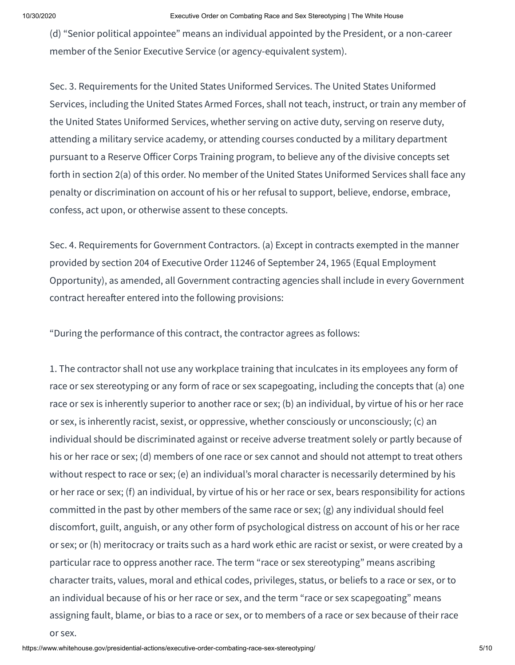(d) "Senior political appointee" means an individual appointed by the President, or a non-career member of the Senior Executive Service (or agency-equivalent system).

 Sec. 3. Requirements for the United States Uniformed Services. The United States Uniformed Services, including the United States Armed Forces, shall not teach, instruct, or train any member of the United States Uniformed Services, whether serving on active duty, serving on reserve duty, attending a military service academy, or attending courses conducted by a military department pursuant to a Reserve Officer Corps Training program, to believe any of the divisive concepts set forth in section 2(a) of this order. No member of the United States Uniformed Services shall face any confess, act upon, or otherwise assent to these concepts. penalty or discrimination on account of his or her refusal to support, believe, endorse, embrace,

 Sec. 4. Requirements for Government Contractors. (a) Except in contracts exempted in the manner provided by section 204 of Executive Order 11246 of September 24, 1965 (Equal Employment contract hereafter entered into the following provisions: Opportunity), as amended, all Government contracting agencies shall include in every Government

"During the performance of this contract, the contractor agrees as follows:

 1. The contractor shall not use any workplace training that inculcates in its employees any form of race or sex stereotyping or any form of race or sex scapegoating, including the concepts that (a) one race or sex is inherently superior to another race or sex; (b) an individual, by virtue of his or her race or sex, is inherently racist, sexist, or oppressive, whether consciously or unconsciously; (c) an individual should be discriminated against or receive adverse treatment solely or partly because of his or her race or sex; (d) members of one race or sex cannot and should not attempt to treat others without respect to race or sex; (e) an individual's moral character is necessarily determined by his or her race or sex; (f) an individual, by virtue of his or her race or sex, bears responsibility for actions committed in the past by other members of the same race or sex; (g) any individual should feel discomfort, guilt, anguish, or any other form of psychological distress on account of his or her race or sex; or (h) meritocracy or traits such as a hard work ethic are racist or sexist, or were created by a assigning fault, blame, or bias to a race or sex, or to members of a race or sex because of their race particular race to oppress another race. The term "race or sex stereotyping" means ascribing character traits, values, moral and ethical codes, privileges, status, or beliefs to a race or sex, or to an individual because of his or her race or sex, and the term "race or sex scapegoating" means or sex.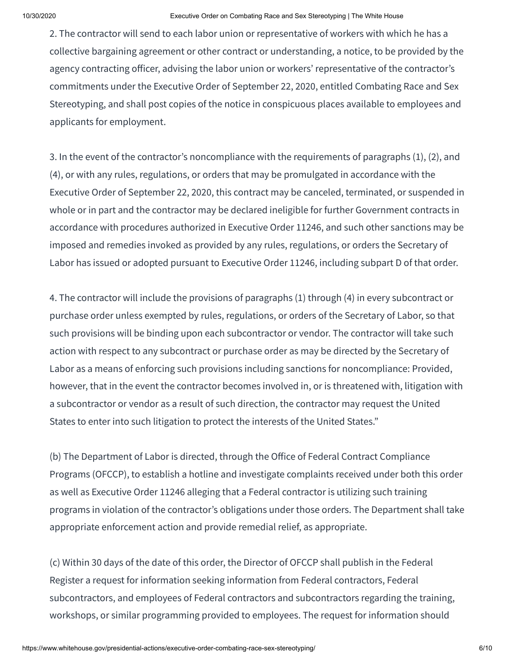2. The contractor will send to each labor union or representative of workers with which he has a collective bargaining agreement or other contract or understanding, a notice, to be provided by the applicants for employment. agency contracting officer, advising the labor union or workers' representative of the contractor's commitments under the Executive Order of September 22, 2020, entitled Combating Race and Sex Stereotyping, and shall post copies of the notice in conspicuous places available to employees and

 3. In the event of the contractor's noncompliance with the requirements of paragraphs (1), (2), and (4), or with any rules, regulations, or orders that may be promulgated in accordance with the Executive Order of September 22, 2020, this contract may be canceled, terminated, or suspended in whole or in part and the contractor may be declared ineligible for further Government contracts in accordance with procedures authorized in Executive Order 11246, and such other sanctions may be imposed and remedies invoked as provided by any rules, regulations, or orders the Secretary of Labor has issued or adopted pursuant to Executive Order 11246, including subpart D of that order.

 4. The contractor will include the provisions of paragraphs (1) through (4) in every subcontract or purchase order unless exempted by rules, regulations, or orders of the Secretary of Labor, so that such provisions will be binding upon each subcontractor or vendor. The contractor will take such action with respect to any subcontract or purchase order as may be directed by the Secretary of Labor as a means of enforcing such provisions including sanctions for noncompliance: Provided, however, that in the event the contractor becomes involved in, or is threatened with, litigation with States to enter into such litigation to protect the interests of the United States." a subcontractor or vendor as a result of such direction, the contractor may request the United

(b) The Department of Labor is directed, through the Office of Federal Contract Compliance Programs (OFCCP), to establish a hotline and investigate complaints received under both this order as well as Executive Order 11246 alleging that a Federal contractor is utilizing such training programs in violation of the contractor's obligations under those orders. The Department shall take appropriate enforcement action and provide remedial relief, as appropriate.

 workshops, or similar programming provided to employees. The request for information should (c) Within 30 days of the date of this order, the Director of OFCCP shall publish in the Federal Register a request for information seeking information from Federal contractors, Federal subcontractors, and employees of Federal contractors and subcontractors regarding the training,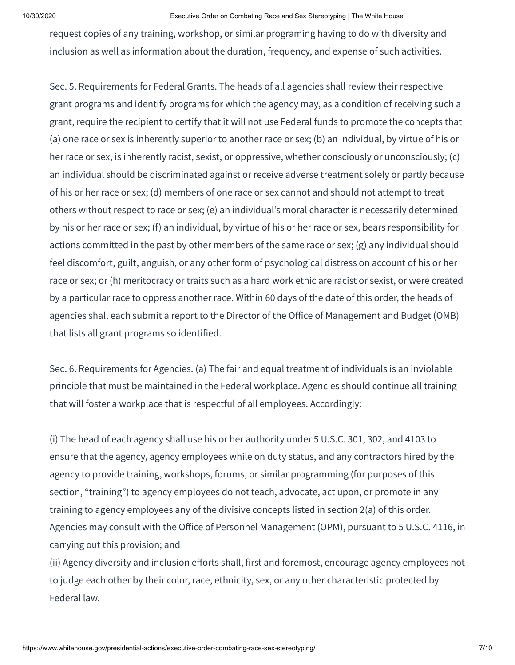## 10/30/2020 Executive Order on Combating Race and Sex Stereotyping | The White House

 request copies of any training, workshop, or similar programing having to do with diversity and inclusion as well as information about the duration, frequency, and expense of such activities.

 Sec. 5. Requirements for Federal Grants. The heads of all agencies shall review their respective grant programs and identify programs for which the agency may, as a condition of receiving such a grant, require the recipient to certify that it will not use Federal funds to promote the concepts that (a) one race or sex is inherently superior to another race or sex; (b) an individual, by virtue of his or her race or sex, is inherently racist, sexist, or oppressive, whether consciously or unconsciously; (c) an individual should be discriminated against or receive adverse treatment solely or partly because of his or her race or sex; (d) members of one race or sex cannot and should not attempt to treat others without respect to race or sex; (e) an individual's moral character is necessarily determined by his or her race or sex; (f) an individual, by virtue of his or her race or sex, bears responsibility for actions committed in the past by other members of the same race or sex; (g) any individual should feel discomfort, guilt, anguish, or any other form of psychological distress on account of his or her race or sex; or (h) meritocracy or traits such as a hard work ethic are racist or sexist, or were created by a particular race to oppress another race. Within 60 days of the date of this order, the heads of agencies shall each submit a report to the Director of the Office of Management and Budget (OMB) that lists all grant programs so identified.

 Sec. 6. Requirements for Agencies. (a) The fair and equal treatment of individuals is an inviolable principle that must be maintained in the Federal workplace. Agencies should continue all training that will foster a workplace that is respectful of all employees. Accordingly:

 (i) The head of each agency shall use his or her authority under 5 U.S.C. 301, 302, and 4103 to ensure that the agency, agency employees while on duty status, and any contractors hired by the agency to provide training, workshops, forums, or similar programming (for purposes of this section, "training") to agency employees do not teach, advocate, act upon, or promote in any training to agency employees any of the divisive concepts listed in section 2(a) of this order. carrying out this provision; and Agencies may consult with the Office of Personnel Management (OPM), pursuant to 5 U.S.C. 4116, in

J (ii) Agency diversity and inclusion efforts shall, first and foremost, encourage agency employees not to judge each other by their color, race, ethnicity, sex, or any other characteristic protected by Federal law.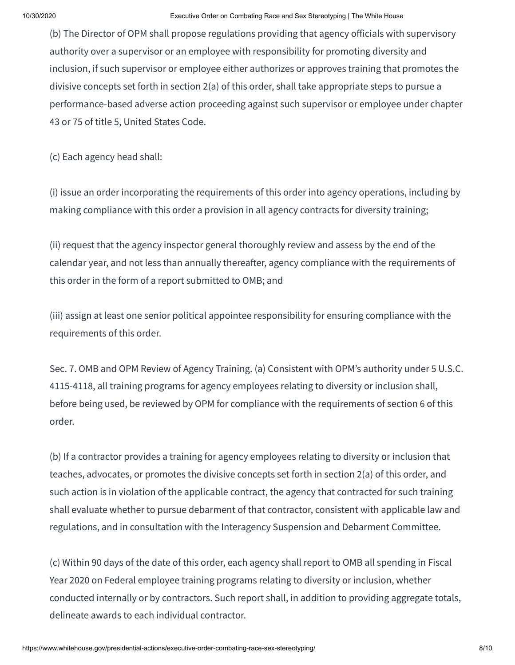(b) The Director of OPM shall propose regulations providing that agency officials with supervisory inclusion, if such supervisor or employee either authorizes or approves training that promotes the divisive concepts set forth in section 2(a) of this order, shall take appropriate steps to pursue a 43 or 75 of title 5, United States Code. authority over a supervisor or an employee with responsibility for promoting diversity and performance-based adverse action proceeding against such supervisor or employee under chapter

(c) Each agency head shall:

 (i) issue an order incorporating the requirements of this order into agency operations, including by making compliance with this order a provision in all agency contracts for diversity training;

 (ii) request that the agency inspector general thoroughly review and assess by the end of the calendar year, and not less than annually thereafter, agency compliance with the requirements of this order in the form of a report submitted to OMB; and

 (iii) assign at least one senior political appointee responsibility for ensuring compliance with the requirements of this order.

 Sec. 7. OMB and OPM Review of Agency Training. (a) Consistent with OPM's authority under 5 U.S.C. 4115-4118, all training programs for agency employees relating to diversity or inclusion shall, before being used, be reviewed by OPM for compliance with the requirements of section 6 of this order.

 (b) If a contractor provides a training for agency employees relating to diversity or inclusion that teaches, advocates, or promotes the divisive concepts set forth in section 2(a) of this order, and such action is in violation of the applicable contract, the agency that contracted for such training shall evaluate whether to pursue debarment of that contractor, consistent with applicable law and regulations, and in consultation with the Interagency Suspension and Debarment Committee.

 delineate awards to each individual contractor. (c) Within 90 days of the date of this order, each agency shall report to OMB all spending in Fiscal Year 2020 on Federal employee training programs relating to diversity or inclusion, whether conducted internally or by contractors. Such report shall, in addition to providing aggregate totals,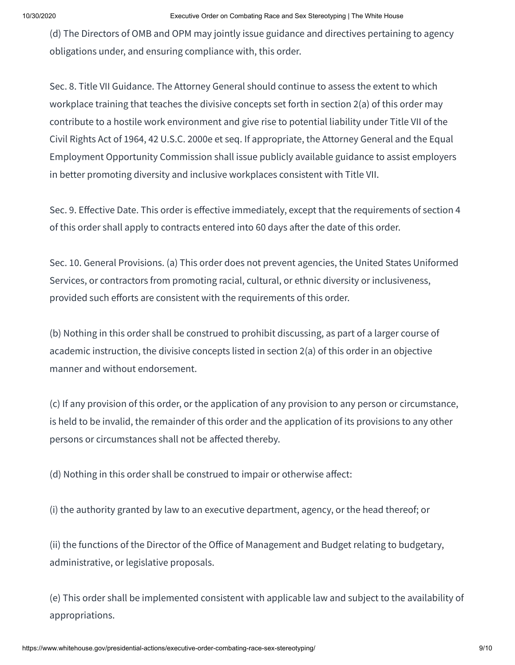(d) The Directors of OMB and OPM may jointly issue guidance and directives pertaining to agency obligations under, and ensuring compliance with, this order.

 Sec. 8. Title VII Guidance. The Attorney General should continue to assess the extent to which workplace training that teaches the divisive concepts set forth in section 2(a) of this order may contribute to a hostile work environment and give rise to potential liability under Title VII of the Civil Rights Act of 1964, 42 U.S.C. 2000e et seq. If appropriate, the Attorney General and the Equal in better promoting diversity and inclusive workplaces consistent with Title VII. Employment Opportunity Commission shall issue publicly available guidance to assist employers

Sec. 9. Effective Date. This order is effective immediately, except that the requirements of section 4 of this order shall apply to contracts entered into 60 days after the date of this order.

 Sec. 10. General Provisions. (a) This order does not prevent agencies, the United States Uniformed Services, or contractors from promoting racial, cultural, or ethnic diversity or inclusiveness, provided such efforts are consistent with the requirements of this order.

 (b) Nothing in this order shall be construed to prohibit discussing, as part of a larger course of academic instruction, the divisive concepts listed in section 2(a) of this order in an objective manner and without endorsement.

 (c) If any provision of this order, or the application of any provision to any person or circumstance, is held to be invalid, the remainder of this order and the application of its provisions to any other persons or circumstances shall not be affected thereby.

(d) Nothing in this order shall be construed to impair or otherwise affect:

(i) the authority granted by law to an executive department, agency, or the head thereof; or

(ii) the functions of the Director of the Office of Management and Budget relating to budgetary, administrative, or legislative proposals.

(e) This order shall be implemented consistent with applicable law and subject to the availability of appropriations.